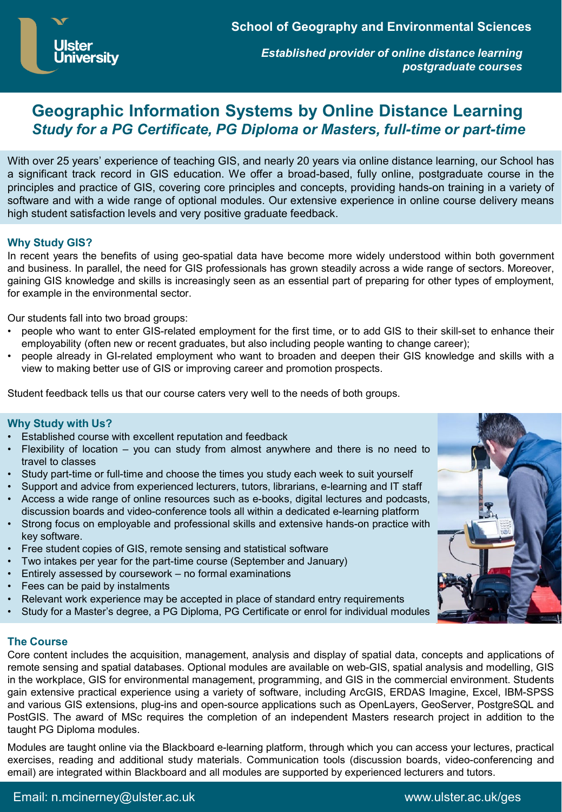*Established provider of online distance learning postgraduate courses*

# **Geographic Information Systems by Online Distance Learning** *Study for a PG Certificate, PG Diploma or Masters, full-time or part-time*

With over 25 years' experience of teaching GIS, and nearly 20 years via online distance learning, our School has a significant track record in GIS education. We offer a broad-based, fully online, postgraduate course in the principles and practice of GIS, covering core principles and concepts, providing hands-on training in a variety of software and with a wide range of optional modules. Our extensive experience in online course delivery means high student satisfaction levels and very positive graduate feedback.

## **Why Study GIS?**

In recent years the benefits of using geo-spatial data have become more widely understood within both government and business. In parallel, the need for GIS professionals has grown steadily across a wide range of sectors. Moreover, gaining GIS knowledge and skills is increasingly seen as an essential part of preparing for other types of employment, for example in the environmental sector.

Our students fall into two broad groups:

- people who want to enter GIS-related employment for the first time, or to add GIS to their skill-set to enhance their employability (often new or recent graduates, but also including people wanting to change career);
- people already in GI-related employment who want to broaden and deepen their GIS knowledge and skills with a view to making better use of GIS or improving career and promotion prospects.

Student feedback tells us that our course caters very well to the needs of both groups.

#### **Why Study with Us?**

- Established course with excellent reputation and feedback
- Flexibility of location  $-$  you can study from almost anywhere and there is no need to travel to classes
- Study part-time or full-time and choose the times you study each week to suit yourself
- Support and advice from experienced lecturers, tutors, librarians, e-learning and IT staff
- Access a wide range of online resources such as e-books, digital lectures and podcasts, discussion boards and video-conference tools all within a dedicated e-learning platform
- Strong focus on employable and professional skills and extensive hands-on practice with key software.
- Free student copies of GIS, remote sensing and statistical software
- Two intakes per year for the part-time course (September and January)
- Entirely assessed by coursework no formal examinations
- Fees can be paid by instalments
- Relevant work experience may be accepted in place of standard entry requirements
- Study for a Master's degree, a PG Diploma, PG Certificate or enrol for individual modules

## **The Course**

Core content includes the acquisition, management, analysis and display of spatial data, concepts and applications of remote sensing and spatial databases. Optional modules are available on web-GIS, spatial analysis and modelling, GIS in the workplace, GIS for environmental management, programming, and GIS in the commercial environment. Students gain extensive practical experience using a variety of software, including ArcGIS, ERDAS Imagine, Excel, IBM-SPSS and various GIS extensions, plug-ins and open-source applications such as OpenLayers, GeoServer, PostgreSQL and PostGIS. The award of MSc requires the completion of an independent Masters research project in addition to the taught PG Diploma modules.

Modules are taught online via the Blackboard e-learning platform, through which you can access your lectures, practical exercises, reading and additional study materials. Communication tools (discussion boards, video-conferencing and email) are integrated within Blackboard and all modules are supported by experienced lecturers and tutors.



Email: n.mcinerney@ulster.ac.uk